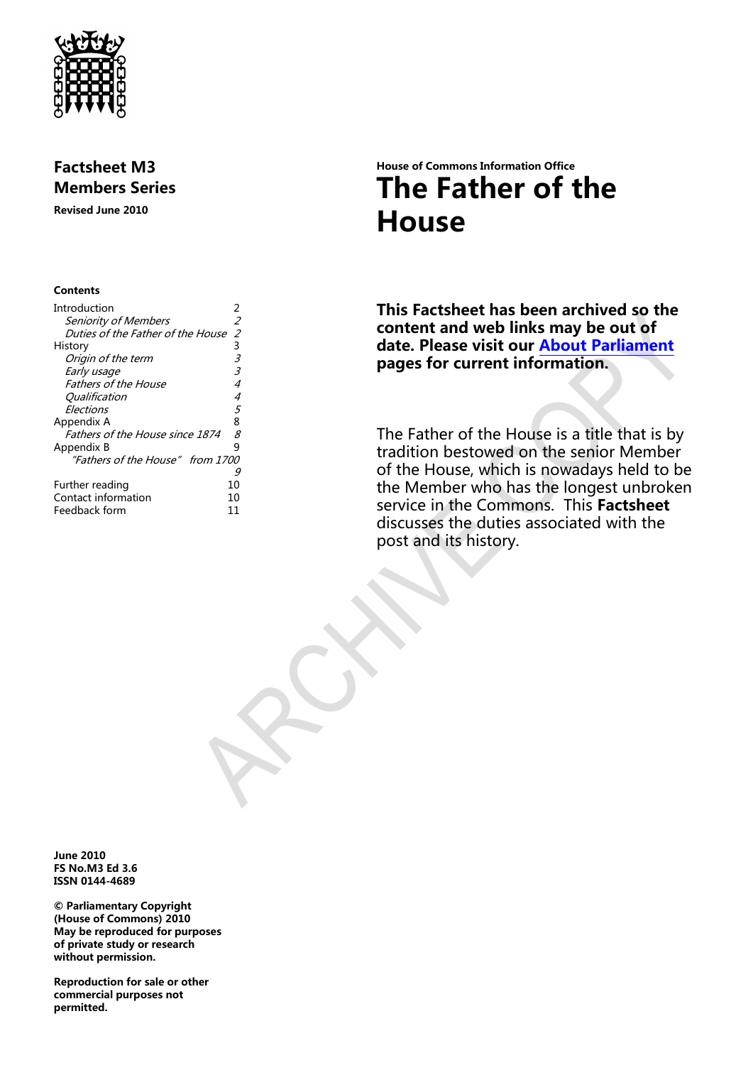

## **Factsheet M3 Members Series**

**Revised June 2010**

#### **Contents**

| Introduction                      | 2  |
|-----------------------------------|----|
| <i>Seniority of Members</i>       | 2  |
| Duties of the Father of the House | 2  |
| History                           | 3  |
| Origin of the term                | 3  |
| Early usage                       | 3  |
| <b>Fathers of the House</b>       | 4  |
| Qualification                     | 4  |
| Flections                         | 5  |
| Appendix A                        | 8  |
| Fathers of the House since 1874   | 8  |
| Appendix B                        | 9  |
| "Fathers of the House" from 1700  |    |
|                                   | 9  |
| Further reading                   | 10 |
| Contact information               | 10 |
| Feedback form                     | 11 |

# **House of Commons Information Office The Father of the House**

**This Factsheet has been archived so the content and web links may be out of date. Please visit our [About Parliament](http://www.parliament.uk/about/) pages for current information.**

The Father of the House is a title that is by tradition bestowed on the senior Member of the House, which is nowadays held to be the Member who has the longest unbroken service in the Commons. This **Factsheet** discusses the duties associated with the post and its history.

**June 2010 FS No.M3 Ed 3.6 ISSN 0144-4689**

**© Parliamentary Copyright (House of Commons) 2010 May be reproduced for purposes of private study or research without permission.** 

**Reproduction for sale or other commercial purposes not permitted.**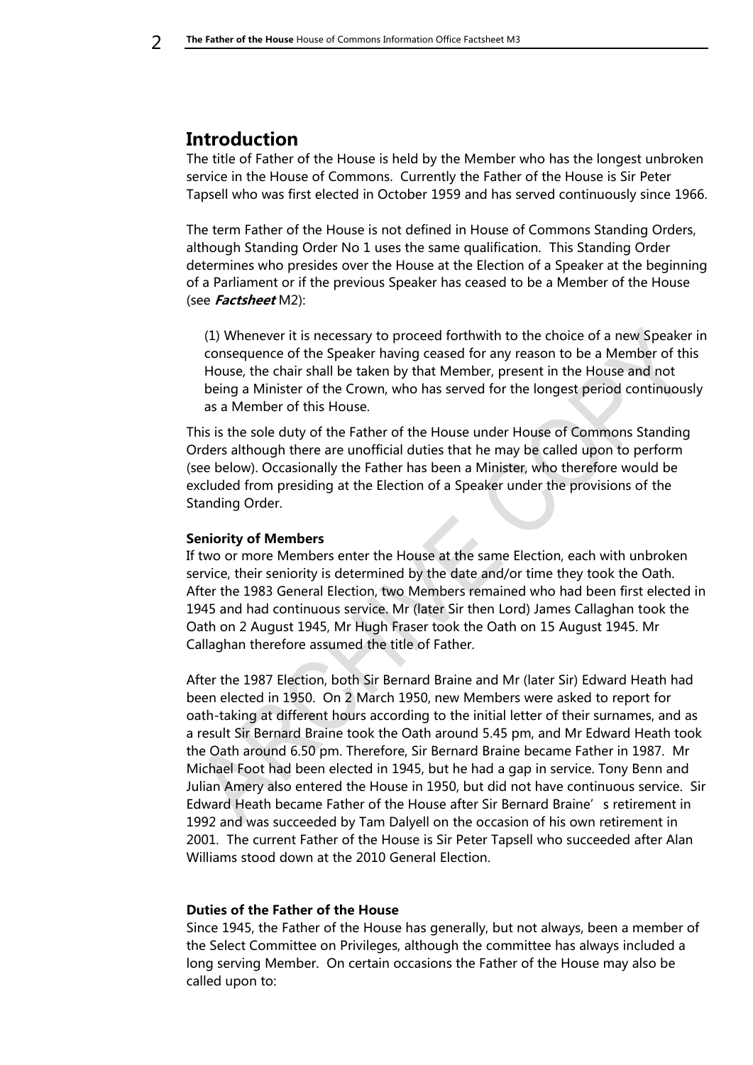## <span id="page-1-0"></span>**Introduction**

The title of Father of the House is held by the Member who has the longest unbroken service in the House of Commons. Currently the Father of the House is Sir Peter Tapsell who was first elected in October 1959 and has served continuously since 1966.

The term Father of the House is not defined in House of Commons Standing Orders, although Standing Order No 1 uses the same qualification. This Standing Order determines who presides over the House at the Election of a Speaker at the beginning of a Parliament or if the previous Speaker has ceased to be a Member of the House (see **Factsheet** M2):

(1) Whenever it is necessary to proceed forthwith to the choice of a new Speaker in consequence of the Speaker having ceased for any reason to be a Member of this House, the chair shall be taken by that Member, present in the House and not being a Minister of the Crown, who has served for the longest period continuously as a Member of this House.

This is the sole duty of the Father of the House under House of Commons Standing Orders although there are unofficial duties that he may be called upon to perform (see below). Occasionally the Father has been a Minister, who therefore would be excluded from presiding at the Election of a Speaker under the provisions of the Standing Order.

#### <span id="page-1-1"></span>**Seniority of Members**

If two or more Members enter the House at the same Election, each with unbroken service, their seniority is determined by the date and/or time they took the Oath. After the 1983 General Election, two Members remained who had been first elected in 1945 and had continuous service. Mr (later Sir then Lord) James Callaghan took the Oath on 2 August 1945, Mr Hugh Fraser took the Oath on 15 August 1945. Mr Callaghan therefore assumed the title of Father.

After the 1987 Election, both Sir Bernard Braine and Mr (later Sir) Edward Heath had been elected in 1950. On 2 March 1950, new Members were asked to report for oath-taking at different hours according to the initial letter of their surnames, and as a result Sir Bernard Braine took the Oath around 5.45 pm, and Mr Edward Heath took the Oath around 6.50 pm. Therefore, Sir Bernard Braine became Father in 1987. Mr Michael Foot had been elected in 1945, but he had a gap in service. Tony Benn and Julian Amery also entered the House in 1950, but did not have continuous service. Sir Edward Heath became Father of the House after Sir Bernard Braine's retirement in 1992 and was succeeded by Tam Dalyell on the occasion of his own retirement in 2001. The current Father of the House is Sir Peter Tapsell who succeeded after Alan Williams stood down at the 2010 General Election.

#### <span id="page-1-2"></span>**Duties of the Father of the House**

Since 1945, the Father of the House has generally, but not always, been a member of the Select Committee on Privileges, although the committee has always included a long serving Member. On certain occasions the Father of the House may also be called upon to: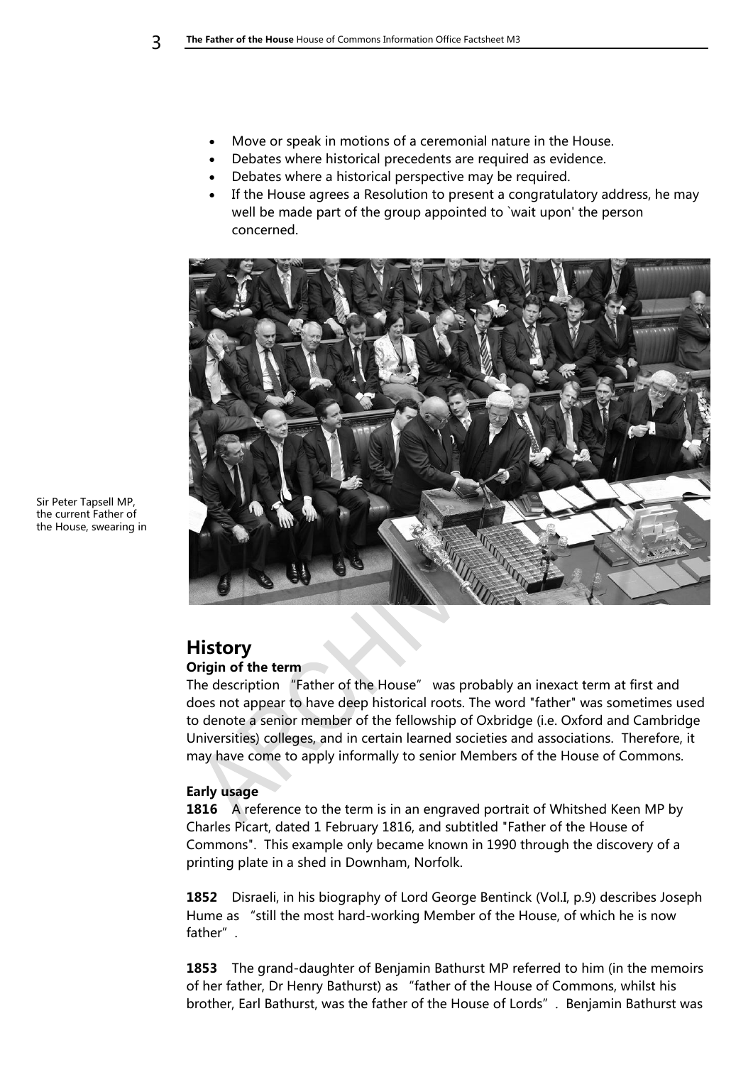- Move or speak in motions of a ceremonial nature in the House.
- Debates where historical precedents are required as evidence.
- Debates where a historical perspective may be required.
- If the House agrees a Resolution to present a congratulatory address, he may well be made part of the group appointed to `wait upon' the person concerned.



Sir Peter Tapsell MP, the current Father of the House, swearing in

## <span id="page-2-0"></span>**History**

#### <span id="page-2-1"></span>**Origin of the term**

The description "Father of the House" was probably an inexact term at first and does not appear to have deep historical roots. The word "father" was sometimes used to denote a senior member of the fellowship of Oxbridge (i.e. Oxford and Cambridge Universities) colleges, and in certain learned societies and associations. Therefore, it may have come to apply informally to senior Members of the House of Commons.

#### <span id="page-2-2"></span>**Early usage**

**1816** A reference to the term is in an engraved portrait of Whitshed Keen MP by Charles Picart, dated 1 February 1816, and subtitled "Father of the House of Commons". This example only became known in 1990 through the discovery of a printing plate in a shed in Downham, Norfolk.

**1852** Disraeli, in his biography of Lord George Bentinck (Vol.I, p.9) describes Joseph Hume as "still the most hard-working Member of the House, of which he is now father".

**1853** The grand-daughter of Benjamin Bathurst MP referred to him (in the memoirs of her father, Dr Henry Bathurst) as "father of the House of Commons, whilst his brother, Earl Bathurst, was the father of the House of Lords". Benjamin Bathurst was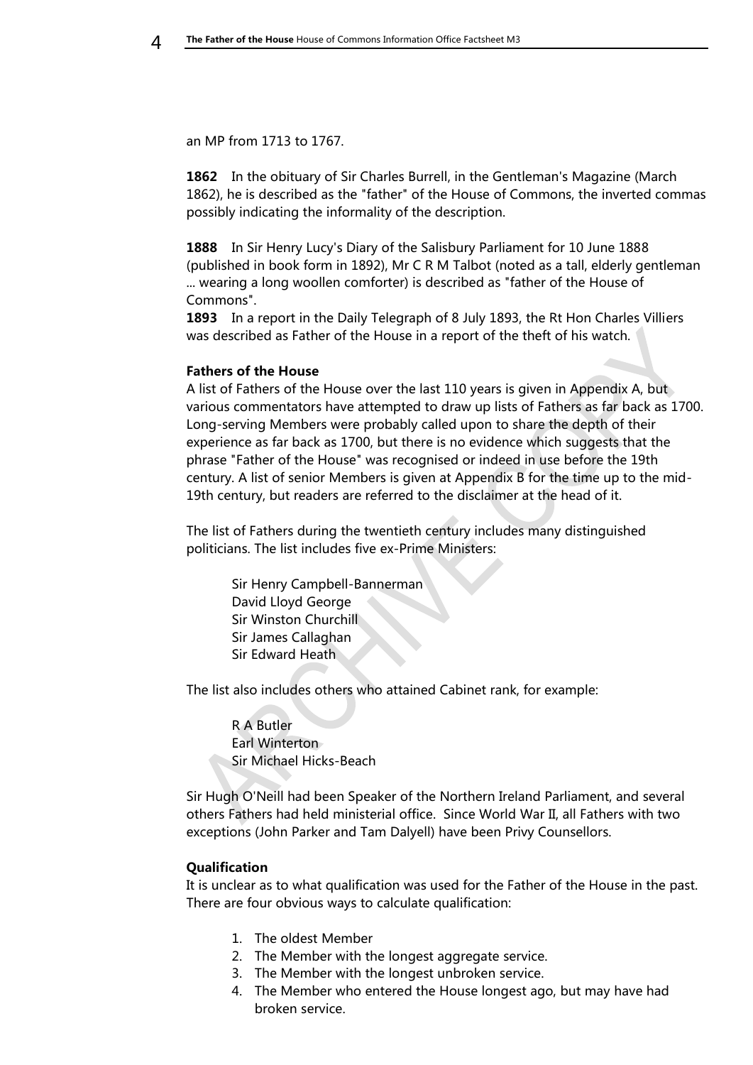an MP from 1713 to 1767.

**1862** In the obituary of Sir Charles Burrell, in the Gentleman's Magazine (March 1862), he is described as the "father" of the House of Commons, the inverted commas possibly indicating the informality of the description.

**1888** In Sir Henry Lucy's Diary of the Salisbury Parliament for 10 June 1888 (published in book form in 1892), Mr C R M Talbot (noted as a tall, elderly gentleman ... wearing a long woollen comforter) is described as "father of the House of Commons".

**1893** In a report in the Daily Telegraph of 8 July 1893, the Rt Hon Charles Villiers was described as Father of the House in a report of the theft of his watch.

#### <span id="page-3-0"></span>**Fathers of the House**

A list of Fathers of the House over the last 110 years is given in Appendix A, but various commentators have attempted to draw up lists of Fathers as far back as 1700. Long-serving Members were probably called upon to share the depth of their experience as far back as 1700, but there is no evidence which suggests that the phrase "Father of the House" was recognised or indeed in use before the 19th century. A list of senior Members is given at Appendix B for the time up to the mid-19th century, but readers are referred to the disclaimer at the head of it.

The list of Fathers during the twentieth century includes many distinguished politicians. The list includes five ex-Prime Ministers:

Sir Henry Campbell-Bannerman David Lloyd George Sir Winston Churchill Sir James Callaghan Sir Edward Heath

The list also includes others who attained Cabinet rank, for example:

R A Butler Earl Winterton Sir Michael Hicks-Beach

Sir Hugh O'Neill had been Speaker of the Northern Ireland Parliament, and several others Fathers had held ministerial office. Since World War II, all Fathers with two exceptions (John Parker and Tam Dalyell) have been Privy Counsellors.

#### <span id="page-3-1"></span>**Qualification**

It is unclear as to what qualification was used for the Father of the House in the past. There are four obvious ways to calculate qualification:

- 1. The oldest Member
- 2. The Member with the longest aggregate service.
- 3. The Member with the longest unbroken service.
- 4. The Member who entered the House longest ago, but may have had broken service.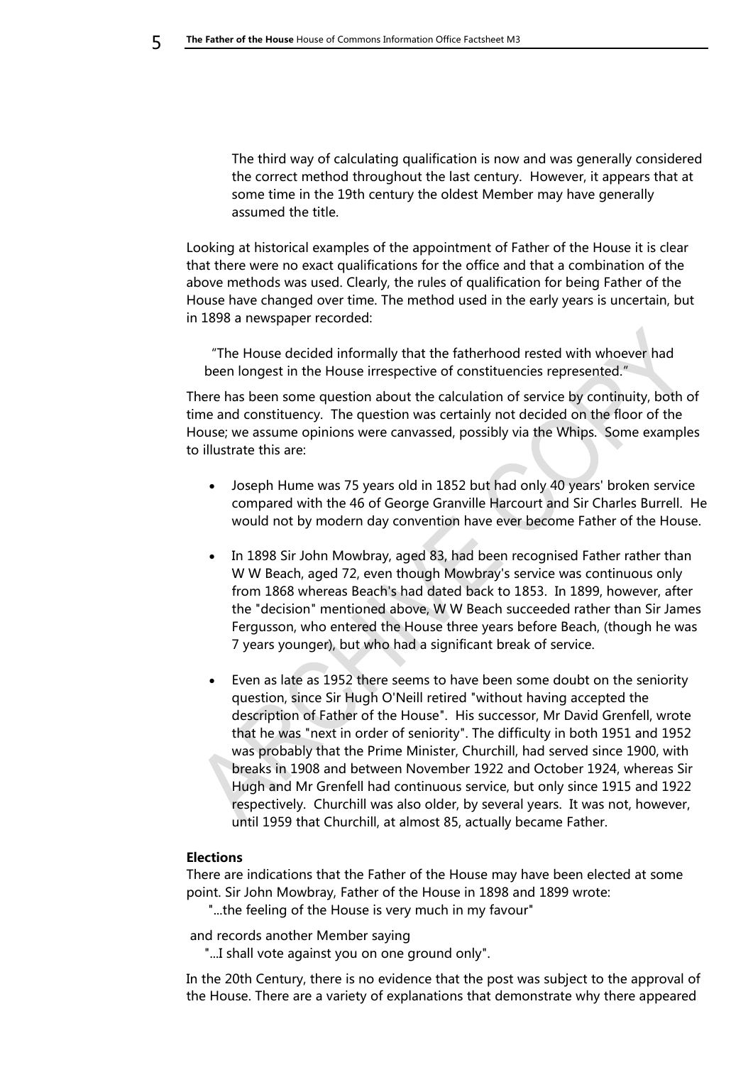The third way of calculating qualification is now and was generally considered the correct method throughout the last century. However, it appears that at some time in the 19th century the oldest Member may have generally assumed the title.

Looking at historical examples of the appointment of Father of the House it is clear that there were no exact qualifications for the office and that a combination of the above methods was used. Clearly, the rules of qualification for being Father of the House have changed over time. The method used in the early years is uncertain, but in 1898 a newspaper recorded:

"The House decided informally that the fatherhood rested with whoever had been longest in the House irrespective of constituencies represented."

There has been some question about the calculation of service by continuity, both of time and constituency. The question was certainly not decided on the floor of the House; we assume opinions were canvassed, possibly via the Whips. Some examples to illustrate this are:

- Joseph Hume was 75 years old in 1852 but had only 40 years' broken service compared with the 46 of George Granville Harcourt and Sir Charles Burrell. He would not by modern day convention have ever become Father of the House.
- In 1898 Sir John Mowbray, aged 83, had been recognised Father rather than W W Beach, aged 72, even though Mowbray's service was continuous only from 1868 whereas Beach's had dated back to 1853. In 1899, however, after the "decision" mentioned above, W W Beach succeeded rather than Sir James Fergusson, who entered the House three years before Beach, (though he was 7 years younger), but who had a significant break of service.
- Even as late as 1952 there seems to have been some doubt on the seniority question, since Sir Hugh O'Neill retired "without having accepted the description of Father of the House". His successor, Mr David Grenfell, wrote that he was "next in order of seniority". The difficulty in both 1951 and 1952 was probably that the Prime Minister, Churchill, had served since 1900, with breaks in 1908 and between November 1922 and October 1924, whereas Sir Hugh and Mr Grenfell had continuous service, but only since 1915 and 1922 respectively. Churchill was also older, by several years. It was not, however, until 1959 that Churchill, at almost 85, actually became Father.

#### <span id="page-4-0"></span>**Elections**

There are indications that the Father of the House may have been elected at some point. Sir John Mowbray, Father of the House in 1898 and 1899 wrote:

"...the feeling of the House is very much in my favour"

and records another Member saying

"...I shall vote against you on one ground only".

In the 20th Century, there is no evidence that the post was subject to the approval of the House. There are a variety of explanations that demonstrate why there appeared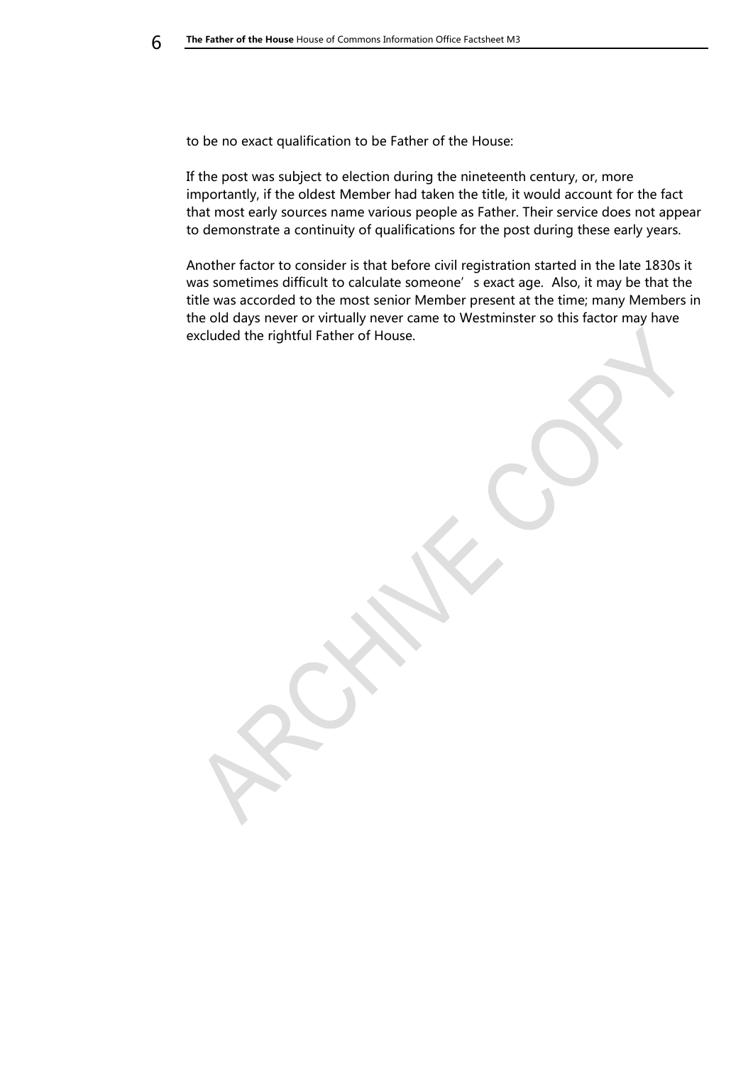to be no exact qualification to be Father of the House:

If the post was subject to election during the nineteenth century, or, more importantly, if the oldest Member had taken the title, it would account for the fact that most early sources name various people as Father. Their service does not appear to demonstrate a continuity of qualifications for the post during these early years.

Another factor to consider is that before civil registration started in the late 1830s it was sometimes difficult to calculate someone' s exact age. Also, it may be that the title was accorded to the most senior Member present at the time; many Members in the old days never or virtually never came to Westminster so this factor may have excluded the rightful Father of House.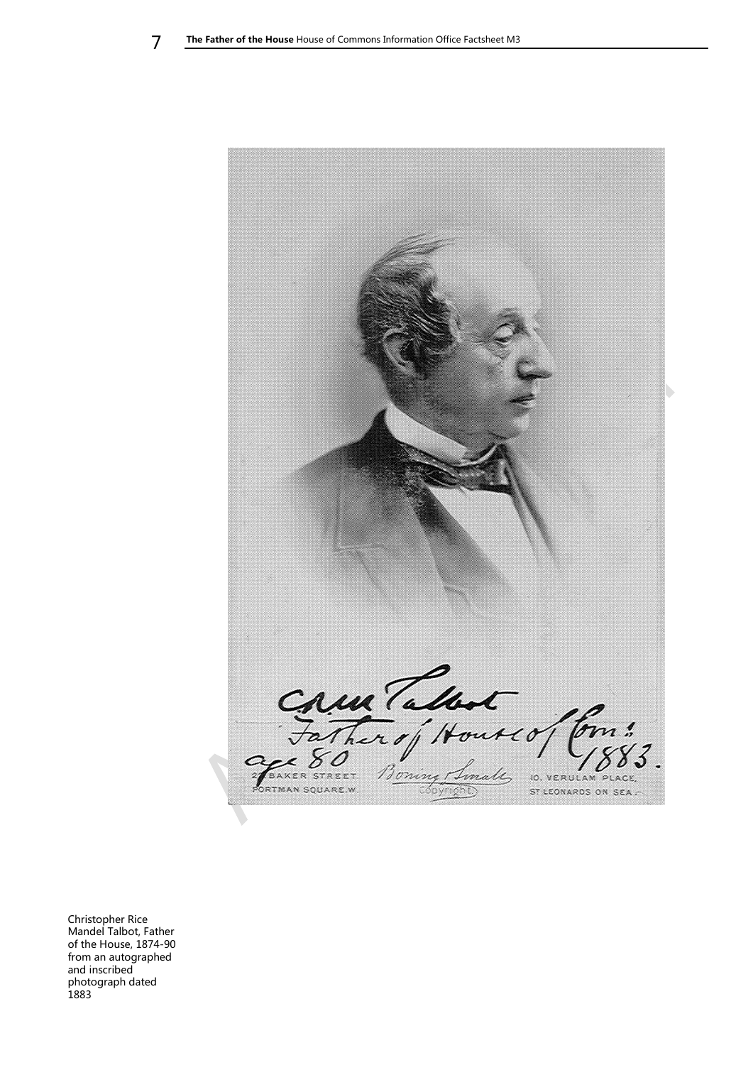

Christopher Rice Mandel Talbot, Father of the House, 1874-90 from an autographed and inscribed photograph dated 1883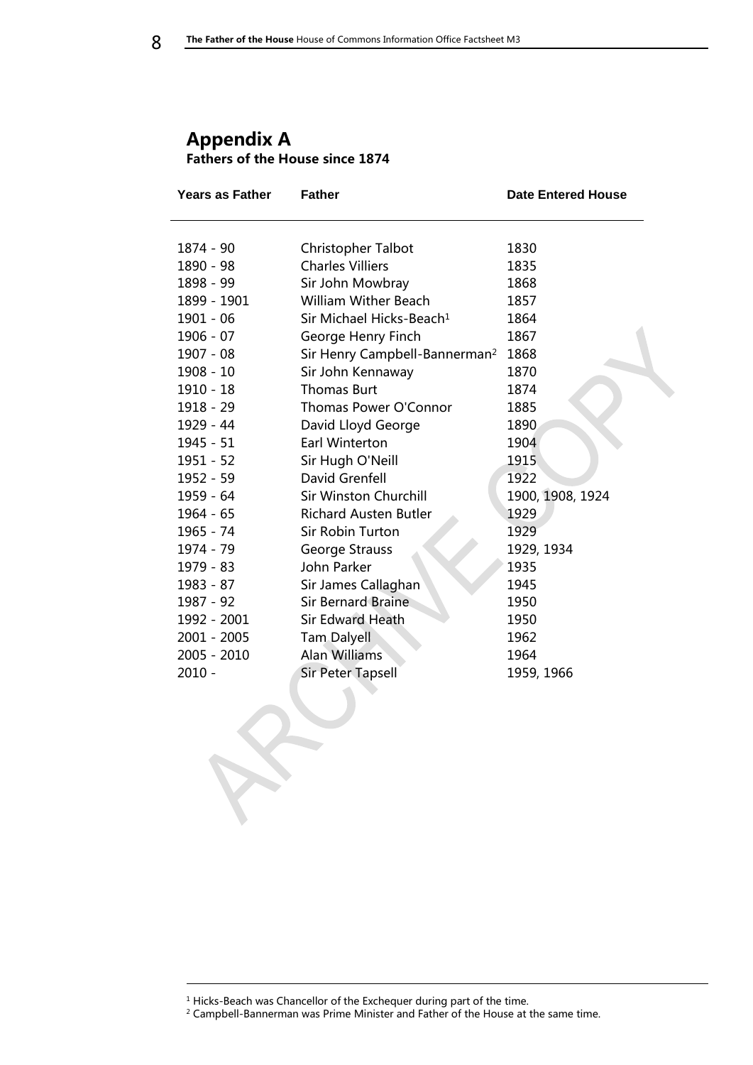### <span id="page-7-1"></span><span id="page-7-0"></span>**Appendix A Fathers of the House since 1874**

| Years as Father | <b>Father</b>                             | <b>Date Entered House</b> |
|-----------------|-------------------------------------------|---------------------------|
|                 |                                           |                           |
| 1874 - 90       | Christopher Talbot                        | 1830                      |
| 1890 - 98       | <b>Charles Villiers</b>                   | 1835                      |
| 1898 - 99       | Sir John Mowbray                          | 1868                      |
| 1899 - 1901     | <b>William Wither Beach</b>               | 1857                      |
| 1901 - 06       | Sir Michael Hicks-Beach <sup>1</sup>      | 1864                      |
| 1906 - 07       | George Henry Finch                        | 1867                      |
| 1907 - 08       | Sir Henry Campbell-Bannerman <sup>2</sup> | 1868                      |
| 1908 - 10       | Sir John Kennaway                         | 1870                      |
| $1910 - 18$     | <b>Thomas Burt</b>                        | 1874                      |
| 1918 - 29       | Thomas Power O'Connor                     | 1885                      |
| 1929 - 44       | David Lloyd George                        | 1890                      |
| $1945 - 51$     | Earl Winterton                            | 1904                      |
| $1951 - 52$     | Sir Hugh O'Neill                          | 1915                      |
| 1952 - 59       | David Grenfell                            | 1922                      |
| 1959 - 64       | <b>Sir Winston Churchill</b>              | 1900, 1908, 1924          |
| $1964 - 65$     | <b>Richard Austen Butler</b>              | 1929                      |
| 1965 - 74       | Sir Robin Turton                          | 1929                      |
| 1974 - 79       | George Strauss                            | 1929, 1934                |
| 1979 - 83       | John Parker                               | 1935                      |
| 1983 - 87       | Sir James Callaghan                       | 1945                      |
| 1987 - 92       | <b>Sir Bernard Braine</b>                 | 1950                      |
| 1992 - 2001     | <b>Sir Edward Heath</b>                   | 1950                      |
| $2001 - 2005$   | <b>Tam Dalyell</b>                        | 1962                      |
| 2005 - 2010     | <b>Alan Williams</b>                      | 1964                      |
| $2010 -$        | Sir Peter Tapsell                         | 1959, 1966                |
|                 |                                           |                           |
|                 |                                           |                           |
|                 |                                           |                           |
|                 |                                           |                           |
|                 |                                           |                           |
|                 |                                           |                           |
|                 |                                           |                           |
|                 |                                           |                           |

-

<sup>&</sup>lt;sup>1</sup> Hicks-Beach was Chancellor of the Exchequer during part of the time.

 $2$  Campbell-Bannerman was Prime Minister and Father of the House at the same time.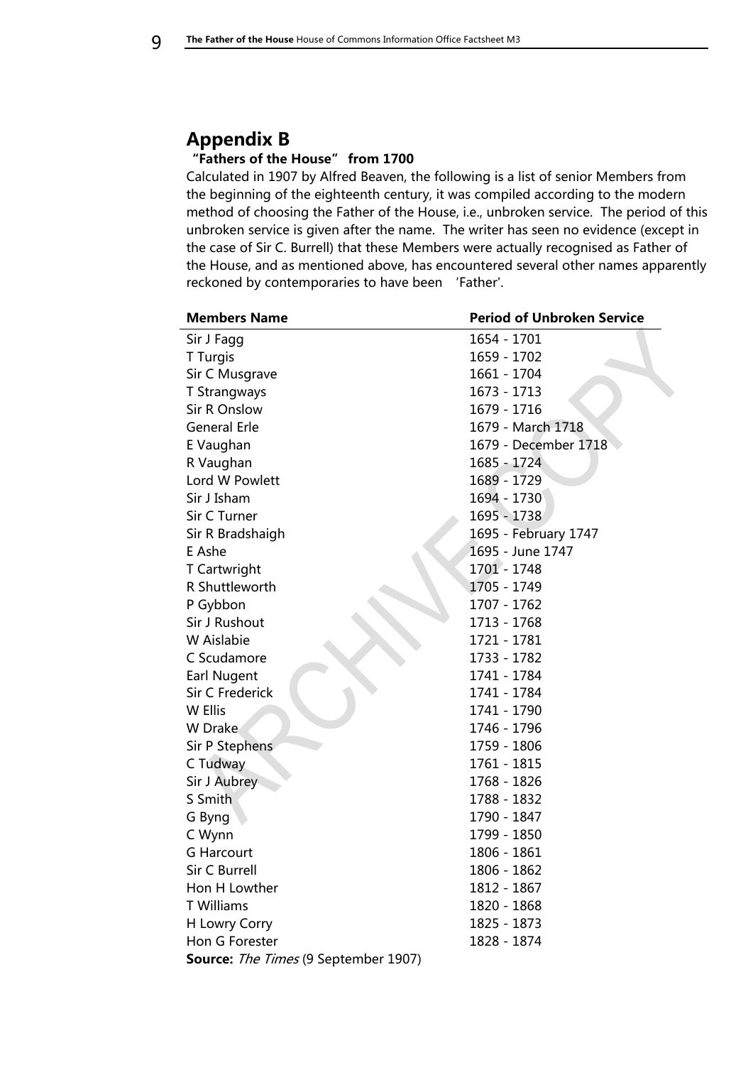## <span id="page-8-0"></span>**Appendix B**

### <span id="page-8-1"></span>**"Fathers of the House" from 1700**

Calculated in 1907 by Alfred Beaven, the following is a list of senior Members from the beginning of the eighteenth century, it was compiled according to the modern method of choosing the Father of the House, i.e., unbroken service. The period of this unbroken service is given after the name. The writer has seen no evidence (except in the case of Sir C. Burrell) that these Members were actually recognised as Father of the House, and as mentioned above, has encountered several other names apparently reckoned by contemporaries to have been 'Father'.

| <b>Members Name</b>                  | <b>Period of Unbroken Service</b> |
|--------------------------------------|-----------------------------------|
| Sir J Fagg                           | 1654 - 1701                       |
| <b>T</b> Turgis                      | 1659 - 1702                       |
| Sir C Musgrave                       | 1661 - 1704                       |
| <b>T Strangways</b>                  | 1673 - 1713                       |
| Sir R Onslow                         | 1679 - 1716                       |
| <b>General Erle</b>                  | 1679 - March 1718                 |
| E Vaughan                            | 1679 - December 1718              |
| R Vaughan                            | 1685 - 1724                       |
| Lord W Powlett                       | 1689 - 1729                       |
| Sir J Isham                          | 1694 - 1730                       |
| Sir C Turner                         | 1695 - 1738                       |
| Sir R Bradshaigh                     | 1695 - February 1747              |
| E Ashe                               | 1695 - June 1747                  |
| T Cartwright                         | 1701 - 1748                       |
| R Shuttleworth                       | 1705 - 1749                       |
| P Gybbon                             | 1707 - 1762                       |
| Sir J Rushout                        | 1713 - 1768                       |
| W Aislabie                           | 1721 - 1781                       |
| C Scudamore                          | 1733 - 1782                       |
| Earl Nugent                          | 1741 - 1784                       |
| Sir C Frederick                      | 1741 - 1784                       |
| W Ellis                              | 1741 - 1790                       |
| W Drake                              | 1746 - 1796                       |
| Sir P Stephens                       | 1759 - 1806                       |
| C Tudway                             | 1761 - 1815                       |
| Sir J Aubrey                         | 1768 - 1826                       |
| S Smith                              | 1788 - 1832                       |
| G Byng                               | 1790 - 1847                       |
| C Wynn                               | 1799 - 1850                       |
| <b>G Harcourt</b>                    | 1806 - 1861                       |
| Sir C Burrell                        | 1806 - 1862                       |
| Hon H Lowther                        | 1812 - 1867                       |
| <b>T</b> Williams                    | 1820 - 1868                       |
| H Lowry Corry                        | 1825 - 1873                       |
| Hon G Forester                       | 1828 - 1874                       |
| Source: The Times (9 September 1907) |                                   |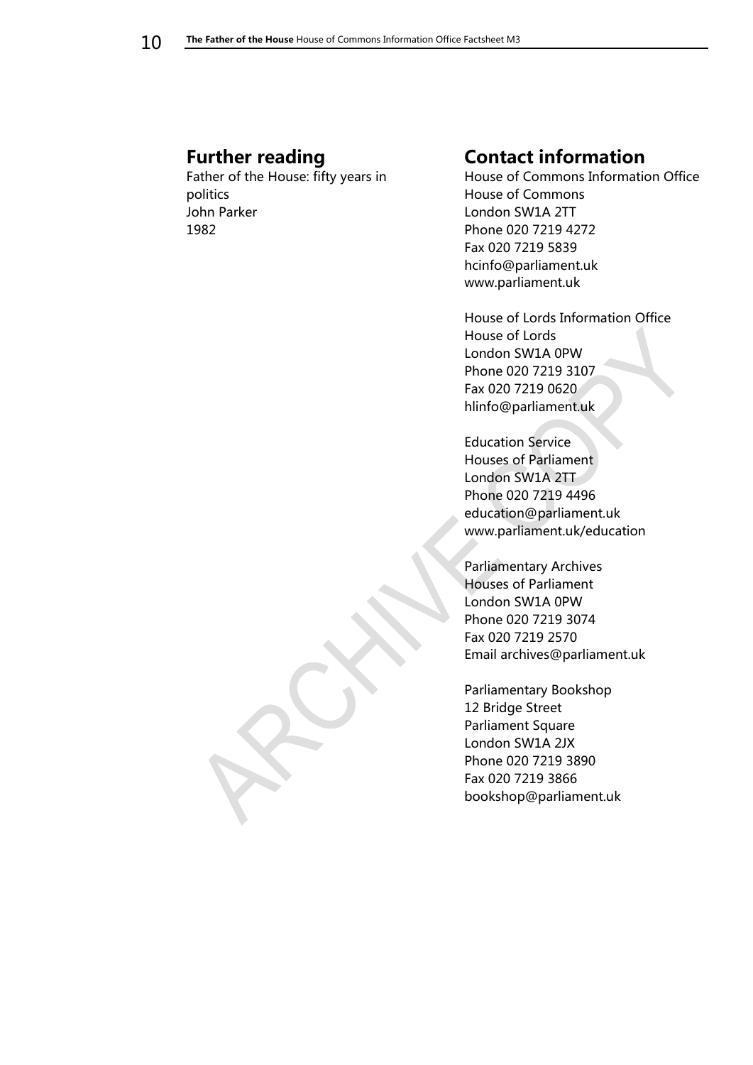## <span id="page-9-0"></span>**Further reading**

Father of the House: fifty years in politics John Parker 1982

## <span id="page-9-1"></span>**Contact information**

House of Commons Information Office House of Commons London SW1A 2TT Phone 020 7219 4272 Fax 020 7219 5839 hcinfo@parliament.uk www.parliament.uk

House of Lords Information Office House of Lords London SW1A 0PW Phone 020 7219 3107 Fax 020 7219 0620 hlinfo@parliament.uk

Education Service Houses of Parliament London SW1A 2TT Phone 020 7219 4496 education@parliament.uk www.parliament.uk/education

Parliamentary Archives Houses of Parliament London SW1A 0PW Phone 020 7219 3074 Fax 020 7219 2570 Email archives@parliament.uk

Parliamentary Bookshop 12 Bridge Street Parliament Square London SW1A 2JX Phone 020 7219 3890 Fax 020 7219 3866 bookshop@parliament.uk